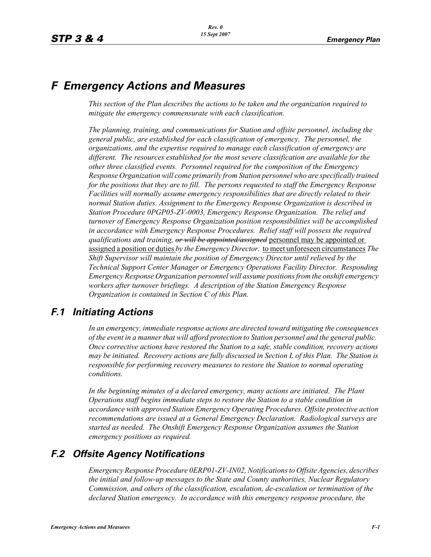# *F Emergency Actions and Measures*

*This section of the Plan describes the actions to be taken and the organization required to mitigate the emergency commensurate with each classification.*

*The planning, training, and communications for Station and offsite personnel, including the general public, are established for each classification of emergency. The personnel, the organizations, and the expertise required to manage each classification of emergency are different. The resources established for the most severe classification are available for the other three classified events. Personnel required for the composition of the Emergency Response Organization will come primarily from Station personnel who are specifically trained for the positions that they are to fill. The persons requested to staff the Emergency Response Facilities will normally assume emergency responsibilities that are directly related to their normal Station duties. Assignment to the Emergency Response Organization is described in Station Procedure 0PGP05-ZV-0003, Emergency Response Organization. The relief and turnover of Emergency Response Organization position responsibilities will be accomplished in accordance with Emergency Response Procedures. Relief staff will possess the required qualifications and training, or will be appointed/assigned* personnel may be appointed or assigned a position or duties *by the Emergency Director.* to meet unforeseen circumstances *The Shift Supervisor will maintain the position of Emergency Director until relieved by the Technical Support Center Manager or Emergency Operations Facility Director. Responding Emergency Response Organization personnel will assume positionsfrom the onshift emergency workers after turnover briefings. A description of the Station Emergency Response Organization is contained in Section C of this Plan.*

### *F.1 Initiating Actions*

*In an emergency, immediate response actions are directed toward mitigating the consequences of the event in a manner that will afford protection to Station personnel and the general public. Once corrective actions have restored the Station to a safe, stable condition, recovery actions may be initiated. Recovery actions are fully discussed in Section L of this Plan. The Station is responsible for performing recovery measures to restore the Station to normal operating conditions.*

*In the beginning minutes of a declared emergency, many actions are initiated. The Plant Operations staff begins immediate steps to restore the Station to a stable condition in accordance with approved Station Emergency Operating Procedures. Offsite protective action recommendations are issued at a General Emergency Declaration. Radiological surveys are started as needed. The Onshift Emergency Response Organization assumes the Station emergency positions as required.*

# *F.2 Offsite Agency Notifications*

*Emergency Response Procedure 0ERP01-ZV-IN02, Notificationsto Offsite Agencies, describes the initial and follow-up messages to the State and County authorities, Nuclear Regulatory Commission, and others of the classification, escalation, de-escalation or termination of the declared Station emergency. In accordance with this emergency response procedure, the*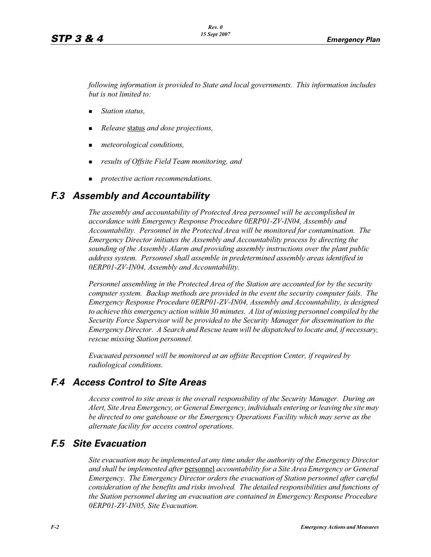*following information is provided to State and local governments. This information includes but is not limited to:*

- -*Station status,*
- -*Release* status *and dose projections,*
- *meteorological conditions,*
- *results of Offsite Field Team monitoring, and*
- *protective action recommendations.*

### *F.3 Assembly and Accountability*

*The assembly and accountability of Protected Area personnel will be accomplished in accordance with Emergency Response Procedure 0ERP01-ZV-IN04, Assembly and Accountability. Personnel in the Protected Area will be monitored for contamination. The Emergency Director initiates the Assembly and Accountability process by directing the sounding of the Assembly Alarm and providing assembly instructions over the plant public address system. Personnel shall assemble in predetermined assembly areas identified in 0ERP01-ZV-IN04, Assembly and Accountability.*

*Personnel assembling in the Protected Area of the Station are accounted for by the security computer system. Backup methods are provided in the event the security computer fails. The Emergency Response Procedure 0ERP01-ZV-IN04, Assembly and Accountability, is designed to achieve this emergency action within 30 minutes. A list of missing personnel compiled by the Security Force Supervisor will be provided to the Security Manager for dissemination to the Emergency Director. A Search and Rescue team will be dispatched to locate and, if necessary, rescue missing Station personnel.*

*Evacuated personnel will be monitored at an offsite Reception Center, if required by radiological conditions.*

# *F.4 Access Control to Site Areas*

*Access control to site areas is the overall responsibility of the Security Manager. During an Alert, Site Area Emergency, or General Emergency, individuals entering or leaving the site may be directed to one gatehouse or the Emergency Operations Facility which may serve as the alternate facility for access control operations.* 

# *F.5 Site Evacuation*

*Site evacuation may be implemented at any time under the authority of the Emergency Director and shall be implemented after* personnel *accountability for a Site Area Emergency or General Emergency. The Emergency Director orders the evacuation of Station personnel after careful consideration of the benefits and risks involved. The detailed responsibilities and functions of the Station personnel during an evacuation are contained in Emergency Response Procedure 0ERP01-ZV-IN05, Site Evacuation.*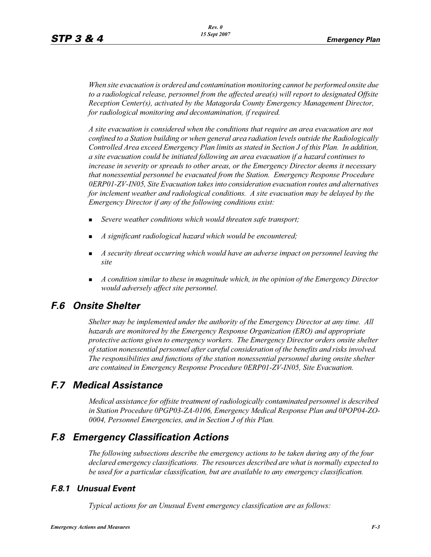*When site evacuation is ordered and contamination monitoring cannot be performed onsite due to a radiological release, personnel from the affected area(s) will report to designated Offsite Reception Center(s), activated by the Matagorda County Emergency Management Director, for radiological monitoring and decontamination, if required.*

*A site evacuation is considered when the conditions that require an area evacuation are not confined to a Station building or when general area radiation levels outside the Radiologically Controlled Area exceed Emergency Plan limits as stated in Section J of this Plan. In addition, a site evacuation could be initiated following an area evacuation if a hazard continues to increase in severity or spreads to other areas, or the Emergency Director deems it necessary that nonessential personnel be evacuated from the Station. Emergency Response Procedure 0ERP01-ZV-IN05, Site Evacuation takes into consideration evacuation routes and alternatives for inclement weather and radiological conditions. A site evacuation may be delayed by the Emergency Director if any of the following conditions exist:*

- -*Severe weather conditions which would threaten safe transport;*
- -*A significant radiological hazard which would be encountered;*
- - *A security threat occurring which would have an adverse impact on personnel leaving the site*
- - *A condition similar to these in magnitude which, in the opinion of the Emergency Director would adversely affect site personnel.*

### *F.6 Onsite Shelter*

*Shelter may be implemented under the authority of the Emergency Director at any time. All hazards are monitored by the Emergency Response Organization (ERO) and appropriate protective actions given to emergency workers. The Emergency Director orders onsite shelter of station nonessential personnel after careful consideration of the benefits and risks involved. The responsibilities and functions of the station nonessential personnel during onsite shelter are contained in Emergency Response Procedure 0ERP01-ZV-IN05, Site Evacuation.*

# *F.7 Medical Assistance*

*Medical assistance for offsite treatment of radiologically contaminated personnel is described in Station Procedure 0PGP03-ZA-0106, Emergency Medical Response Plan and 0POP04-ZO-0004, Personnel Emergencies, and in Section J of this Plan.*

### *F.8 Emergency Classification Actions*

*The following subsections describe the emergency actions to be taken during any of the four declared emergency classifications. The resources described are what is normally expected to be used for a particular classification, but are available to any emergency classification.*

#### *F.8.1 Unusual Event*

*Typical actions for an Unusual Event emergency classification are as follows:*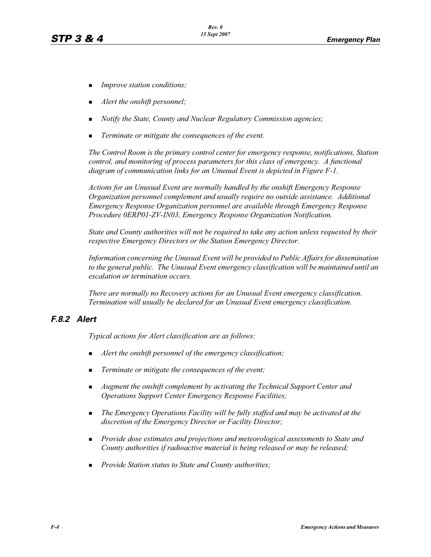- -*Improve station conditions;*
- -*Alert the onshift personnel;*
- -*Notify the State, County and Nuclear Regulatory Commission agencies;*
- -*Terminate or mitigate the consequences of the event.*

*The Control Room is the primary control center for emergency response, notifications, Station control, and monitoring of process parameters for this class of emergency. A functional diagram of communication links for an Unusual Event is depicted in Figure F-1.* 

*Actions for an Unusual Event are normally handled by the onshift Emergency Response Organization personnel complement and usually require no outside assistance. Additional Emergency Response Organization personnel are available through Emergency Response Procedure 0ERP01-ZV-IN03, Emergency Response Organization Notification.* 

*State and County authorities will not be required to take any action unless requested by their respective Emergency Directors or the Station Emergency Director.* 

*Information concerning the Unusual Event will be provided to Public Affairs for dissemination*  to the general public. The Unusual Event emergency classification will be maintained until an *escalation or termination occurs.* 

*There are normally no Recovery actions for an Unusual Event emergency classification. Termination will usually be declared for an Unusual Event emergency classification.*

#### *F.8.2 Alert*

*Typical actions for Alert classification are as follows:* 

- -*Alert the onshift personnel of the emergency classification;*
- -*Terminate or mitigate the consequences of the event;*
- - *Augment the onshift complement by activating the Technical Support Center and Operations Support Center Emergency Response Facilities;*
- - *The Emergency Operations Facility will be fully staffed and may be activated at the discretion of the Emergency Director or Facility Director;*
- - *Provide dose estimates and projections and meteorological assessments to State and County authorities if radioactive material is being released or may be released;*
- **Provide Station status to State and County authorities;**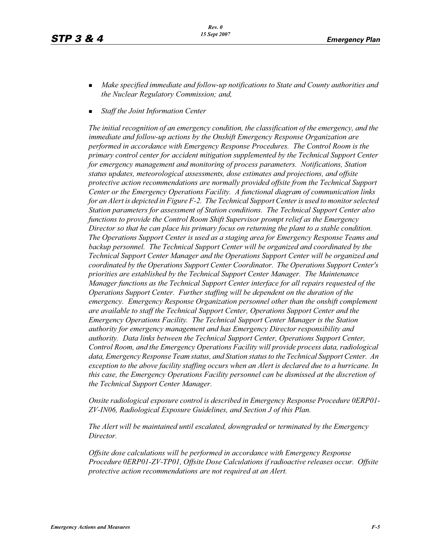- - *Make specified immediate and follow-up notifications to State and County authorities and the Nuclear Regulatory Commission; and,*
- -*Staff the Joint Information Center*

*The initial recognition of an emergency condition, the classification of the emergency, and the immediate and follow-up actions by the Onshift Emergency Response Organization are performed in accordance with Emergency Response Procedures. The Control Room is the primary control center for accident mitigation supplemented by the Technical Support Center for emergency management and monitoring of process parameters. Notifications, Station status updates, meteorological assessments, dose estimates and projections, and offsite protective action recommendations are normally provided offsite from the Technical Support Center or the Emergency Operations Facility. A functional diagram of communication links for an Alert is depicted in Figure F-2. The Technical Support Center is used to monitor selected Station parameters for assessment of Station conditions. The Technical Support Center also functions to provide the Control Room Shift Supervisor prompt relief as the Emergency Director so that he can place his primary focus on returning the plant to a stable condition. The Operations Support Center is used as a staging area for Emergency Response Teams and backup personnel. The Technical Support Center will be organized and coordinated by the Technical Support Center Manager and the Operations Support Center will be organized and coordinated by the Operations Support Center Coordinator. The Operations Support Center's priorities are established by the Technical Support Center Manager. The Maintenance Manager functions as the Technical Support Center interface for all repairs requested of the Operations Support Center. Further staffing will be dependent on the duration of the emergency. Emergency Response Organization personnel other than the onshift complement are available to staff the Technical Support Center, Operations Support Center and the Emergency Operations Facility. The Technical Support Center Manager is the Station authority for emergency management and has Emergency Director responsibility and authority. Data links between the Technical Support Center, Operations Support Center, Control Room, and the Emergency Operations Facility will provide process data, radiological data, Emergency Response Team status, and Station status to the Technical Support Center. An exception to the above facility staffing occurs when an Alert is declared due to a hurricane. In this case, the Emergency Operations Facility personnel can be dismissed at the discretion of the Technical Support Center Manager.* 

*Onsite radiological exposure control is described in Emergency Response Procedure 0ERP01- ZV-IN06, Radiological Exposure Guidelines, and Section J of this Plan.* 

*The Alert will be maintained until escalated, downgraded or terminated by the Emergency Director.* 

*Offsite dose calculations will be performed in accordance with Emergency Response Procedure 0ERP01-ZV-TP01, Offsite Dose Calculations if radioactive releases occur. Offsite protective action recommendations are not required at an Alert.*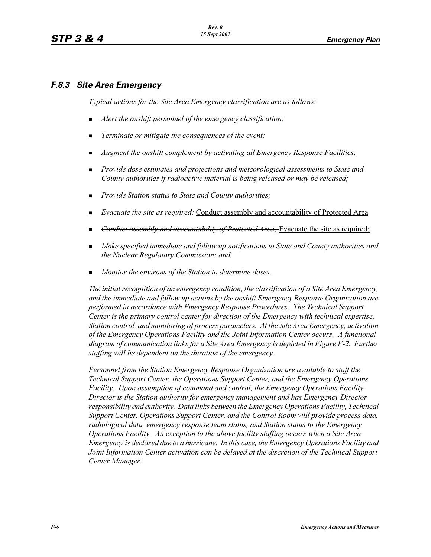#### *F.8.3 Site Area Emergency*

*Typical actions for the Site Area Emergency classification are as follows:* 

- -*Alert the onshift personnel of the emergency classification;*
- -*Terminate or mitigate the consequences of the event;*
- -*Augment the onshift complement by activating all Emergency Response Facilities;*
- **Provide dose estimates and projections and meteorological assessments to State and** *County authorities if radioactive material is being released or may be released;*
- -*Provide Station status to State and County authorities;*
- -*Evacuate the site as required;* Conduct assembly and accountability of Protected Area
- -*Conduct assembly and accountability of Protected Area;* Evacuate the site as required;
- - *Make specified immediate and follow up notifications to State and County authorities and the Nuclear Regulatory Commission; and,*
- -*Monitor the environs of the Station to determine doses.*

*The initial recognition of an emergency condition, the classification of a Site Area Emergency, and the immediate and follow up actions by the onshift Emergency Response Organization are performed in accordance with Emergency Response Procedures. The Technical Support Center is the primary control center for direction of the Emergency with technical expertise, Station control, and monitoring of process parameters. At the Site Area Emergency, activation of the Emergency Operations Facility and the Joint Information Center occurs. A functional diagram of communication links for a Site Area Emergency is depicted in Figure F-2. Further staffing will be dependent on the duration of the emergency.*

*Personnel from the Station Emergency Response Organization are available to staff the Technical Support Center, the Operations Support Center, and the Emergency Operations Facility. Upon assumption of command and control, the Emergency Operations Facility Director is the Station authority for emergency management and has Emergency Director responsibility and authority. Data links between the Emergency Operations Facility, Technical Support Center, Operations Support Center, and the Control Room will provide process data, radiological data, emergency response team status, and Station status to the Emergency Operations Facility. An exception to the above facility staffing occurs when a Site Area Emergency is declared due to a hurricane. In this case, the Emergency Operations Facility and Joint Information Center activation can be delayed at the discretion of the Technical Support Center Manager.*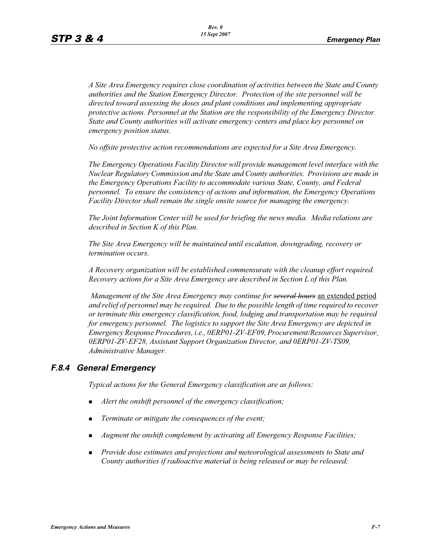*A Site Area Emergency requires close coordination of activities between the State and County authorities and the Station Emergency Director. Protection of the site personnel will be directed toward assessing the doses and plant conditions and implementing appropriate protective actions. Personnel at the Station are the responsibility of the Emergency Director. State and County authorities will activate emergency centers and place key personnel on emergency position status.*

*No offsite protective action recommendations are expected for a Site Area Emergency.* 

*The Emergency Operations Facility Director will provide management level interface with the Nuclear Regulatory Commission and the State and County authorities. Provisions are made in the Emergency Operations Facility to accommodate various State, County, and Federal personnel. To ensure the consistency of actions and information, the Emergency Operations Facility Director shall remain the single onsite source for managing the emergency.* 

*The Joint Information Center will be used for briefing the news media. Media relations are described in Section K of this Plan.* 

*The Site Area Emergency will be maintained until escalation, downgrading, recovery or termination occurs.* 

*A Recovery organization will be established commensurate with the cleanup effort required. Recovery actions for a Site Area Emergency are described in Section L of this Plan.* 

 *Management of the Site Area Emergency may continue for several hours* an extended period *and relief of personnel may be required. Due to the possible length of time required to recover or terminate this emergency classification, food, lodging and transportation may be required for emergency personnel. The logistics to support the Site Area Emergency are depicted in Emergency Response Procedures, i.e., 0ERP01-ZV-EF09, Procurement/Resources Supervisor, 0ERP01-ZV-EF28, Assistant Support Organization Director, and 0ERP01-ZV-TS09, Administrative Manager.*

#### *F.8.4 General Emergency*

*Typical actions for the General Emergency classification are as follows:*

- -*Alert the onshift personnel of the emergency classification;*
- -*Terminate or mitigate the consequences of the event;*
- -*Augment the onshift complement by activating all Emergency Response Facilities;*
- **Provide dose estimates and projections and meteorological assessments to State and** *County authorities if radioactive material is being released or may be released;*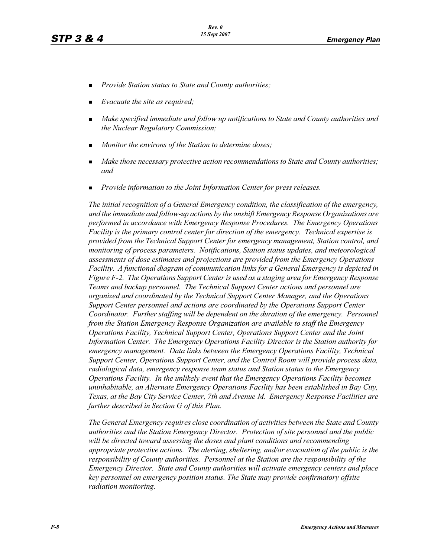- -*Provide Station status to State and County authorities;*
- -*Evacuate the site as required;*
- - *Make specified immediate and follow up notifications to State and County authorities and the Nuclear Regulatory Commission;*
- -*Monitor the environs of the Station to determine doses;*
- - *Make those necessary protective action recommendations to State and County authorities; and*
- -*Provide information to the Joint Information Center for press releases.*

*The initial recognition of a General Emergency condition, the classification of the emergency, and the immediate and follow-up actions by the onshift Emergency Response Organizations are performed in accordance with Emergency Response Procedures. The Emergency Operations Facility is the primary control center for direction of the emergency. Technical expertise is provided from the Technical Support Center for emergency management, Station control, and monitoring of process parameters. Notifications, Station status updates, and meteorological assessments of dose estimates and projections are provided from the Emergency Operations Facility. A functional diagram of communication links for a General Emergency is depicted in Figure F-2. The Operations Support Center is used as a staging area for Emergency Response Teams and backup personnel. The Technical Support Center actions and personnel are organized and coordinated by the Technical Support Center Manager, and the Operations Support Center personnel and actions are coordinated by the Operations Support Center Coordinator. Further staffing will be dependent on the duration of the emergency. Personnel from the Station Emergency Response Organization are available to staff the Emergency Operations Facility, Technical Support Center, Operations Support Center and the Joint Information Center. The Emergency Operations Facility Director is the Station authority for emergency management. Data links between the Emergency Operations Facility, Technical Support Center, Operations Support Center, and the Control Room will provide process data, radiological data, emergency response team status and Station status to the Emergency Operations Facility. In the unlikely event that the Emergency Operations Facility becomes uninhabitable, an Alternate Emergency Operations Facility has been established in Bay City, Texas, at the Bay City Service Center, 7th and Avenue M. Emergency Response Facilities are further described in Section G of this Plan.* 

*The General Emergency requires close coordination of activities between the State and County authorities and the Station Emergency Director. Protection of site personnel and the public will be directed toward assessing the doses and plant conditions and recommending appropriate protective actions. The alerting, sheltering, and/or evacuation of the public is the responsibility of County authorities. Personnel at the Station are the responsibility of the Emergency Director. State and County authorities will activate emergency centers and place key personnel on emergency position status. The State may provide confirmatory offsite radiation monitoring.*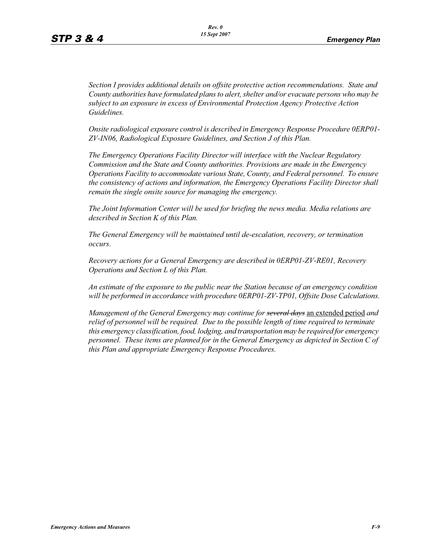*Section I provides additional details on offsite protective action recommendations. State and County authorities have formulated plans to alert, shelter and/or evacuate persons who may be subject to an exposure in excess of Environmental Protection Agency Protective Action Guidelines.*

*Onsite radiological exposure control is described in Emergency Response Procedure 0ERP01- ZV-IN06, Radiological Exposure Guidelines, and Section J of this Plan.* 

*The Emergency Operations Facility Director will interface with the Nuclear Regulatory Commission and the State and County authorities. Provisions are made in the Emergency Operations Facility to accommodate various State, County, and Federal personnel. To ensure the consistency of actions and information, the Emergency Operations Facility Director shall remain the single onsite source for managing the emergency.* 

*The Joint Information Center will be used for briefing the news media. Media relations are described in Section K of this Plan.* 

*The General Emergency will be maintained until de-escalation, recovery, or termination occurs.* 

*Recovery actions for a General Emergency are described in 0ERP01-ZV-RE01, Recovery Operations and Section L of this Plan.* 

*An estimate of the exposure to the public near the Station because of an emergency condition will be performed in accordance with procedure 0ERP01-ZV-TP01, Offsite Dose Calculations.*

*Management of the General Emergency may continue for several days* an extended period *and relief of personnel will be required. Due to the possible length of time required to terminate this emergency classification, food, lodging, and transportation may be required for emergency personnel. These items are planned for in the General Emergency as depicted in Section C of this Plan and appropriate Emergency Response Procedures.*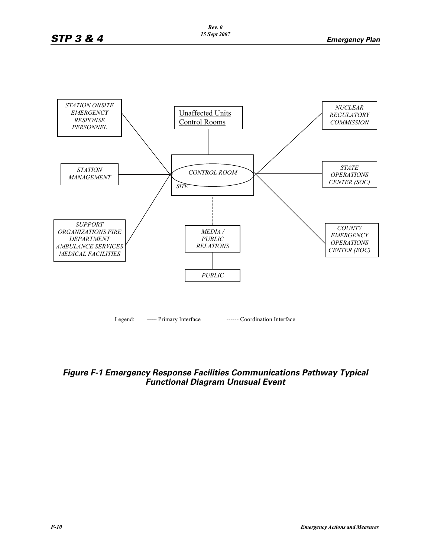

### *Figure F-1 Emergency Response Facilities Communications Pathway Typical Functional Diagram Unusual Event*